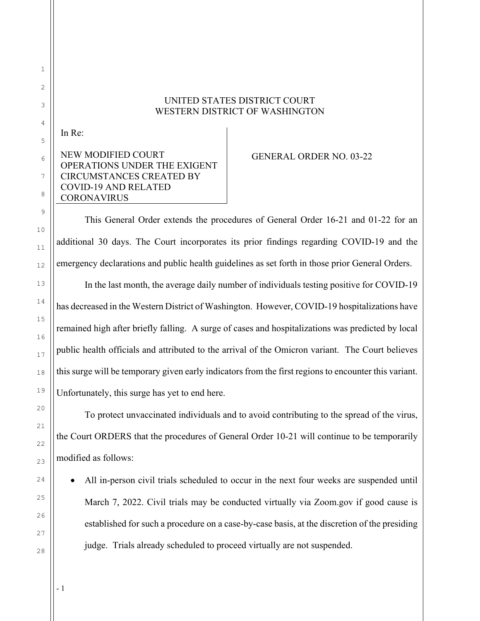## UNITED STATES DISTRICT COURT WESTERN DISTRICT OF WASHINGTON

In Re:

## NEW MODIFIED COURT OPERATIONS UNDER THE EXIGENT CIRCUMSTANCES CREATED BY COVID-19 AND RELATED CORONAVIRUS

## GENERAL ORDER NO. 03-22

This General Order extends the procedures of General Order 16-21 and 01-22 for an additional 30 days. The Court incorporates its prior findings regarding COVID-19 and the emergency declarations and public health guidelines as set forth in those prior General Orders.

In the last month, the average daily number of individuals testing positive for COVID-19 has decreased in the Western District of Washington. However, COVID-19 hospitalizations have remained high after briefly falling. A surge of cases and hospitalizations was predicted by local public health officials and attributed to the arrival of the Omicron variant. The Court believes this surge will be temporary given early indicators from the first regions to encounter this variant. Unfortunately, this surge has yet to end here.

To protect unvaccinated individuals and to avoid contributing to the spread of the virus, the Court ORDERS that the procedures of General Order 10-21 will continue to be temporarily modified as follows:

 All in-person civil trials scheduled to occur in the next four weeks are suspended until March 7, 2022. Civil trials may be conducted virtually via Zoom.gov if good cause is established for such a procedure on a case-by-case basis, at the discretion of the presiding judge. Trials already scheduled to proceed virtually are not suspended.

- 1